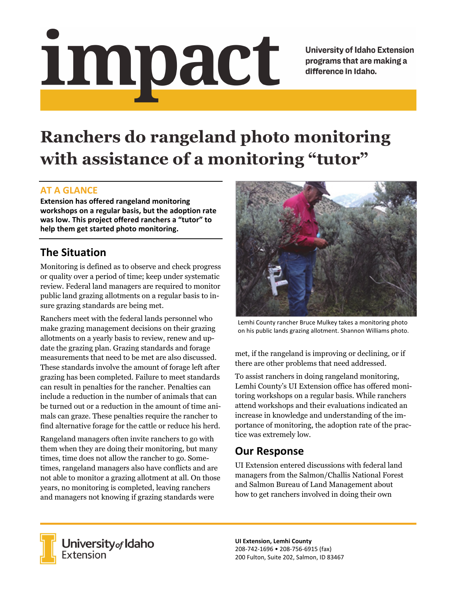# Impact

**University of Idaho Extension** programs that are making a difference in Idaho.

# **Ranchers do rangeland photo monitoring with assistance of a monitoring "tutor"**

### **AT A GLANCE**

**Extension has offered rangeland monitoring workshops on a regular basis, but the adoption rate was low. This project offered ranchers a "tutor" to help them get started photo monitoring.**

## **The Situation**

Monitoring is defined as to observe and check progress or quality over a period of time; keep under systematic review. Federal land managers are required to monitor public land grazing allotments on a regular basis to insure grazing standards are being met.

Ranchers meet with the federal lands personnel who make grazing management decisions on their grazing allotments on a yearly basis to review, renew and update the grazing plan. Grazing standards and forage measurements that need to be met are also discussed. These standards involve the amount of forage left after grazing has been completed. Failure to meet standards can result in penalties for the rancher. Penalties can include a reduction in the number of animals that can be turned out or a reduction in the amount of time animals can graze. These penalties require the rancher to find alternative forage for the cattle or reduce his herd.

Rangeland managers often invite ranchers to go with them when they are doing their monitoring, but many times, time does not allow the rancher to go. Sometimes, rangeland managers also have conflicts and are not able to monitor a grazing allotment at all. On those years, no monitoring is completed, leaving ranchers and managers not knowing if grazing standards were



Lemhi County rancher Bruce Mulkey takes a monitoring photo on his public lands grazing allotment. Shannon Williams photo.

met, if the rangeland is improving or declining, or if there are other problems that need addressed.

To assist ranchers in doing rangeland monitoring, Lemhi County's UI Extension office has offered monitoring workshops on a regular basis. While ranchers attend workshops and their evaluations indicated an increase in knowledge and understanding of the importance of monitoring, the adoption rate of the practice was extremely low.

### **Our Response**

UI Extension entered discussions with federal land managers from the Salmon/Challis National Forest and Salmon Bureau of Land Management about how to get ranchers involved in doing their own



University of Idaho<br>Extension

**UI Extension, Lemhi County** 208‐742‐1696 • 208‐756‐6915 (fax) 200 Fulton, Suite 202, Salmon, ID 83467